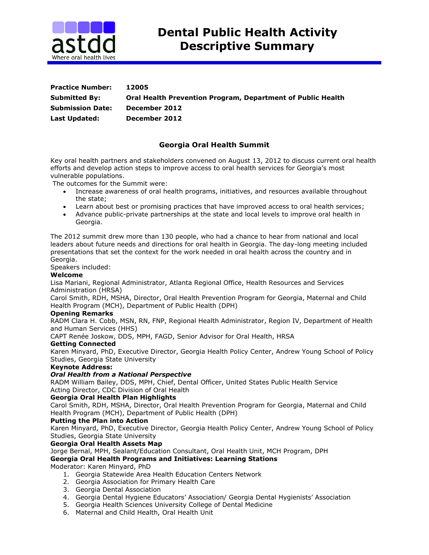

| <b>Practice Number:</b> | 12005                                                              |
|-------------------------|--------------------------------------------------------------------|
| <b>Submitted By:</b>    | <b>Oral Health Prevention Program, Department of Public Health</b> |
| <b>Submission Date:</b> | December 2012                                                      |
| <b>Last Updated:</b>    | December 2012                                                      |

# **Georgia Oral Health Summit**

Key oral health partners and stakeholders convened on August 13, 2012 to discuss current oral health efforts and develop action steps to improve access to oral health services for Georgia's most vulnerable populations.

The outcomes for the Summit were:

- Increase awareness of oral health programs, initiatives, and resources available throughout the state;
- Learn about best or promising practices that have improved access to oral health services;
- Advance public-private partnerships at the state and local levels to improve oral health in Georgia.

The 2012 summit drew more than 130 people, who had a chance to hear from national and local leaders about future needs and directions for oral health in Georgia. The day-long meeting included presentations that set the context for the work needed in oral health across the country and in Georgia.

Speakers included:

### **Welcome**

Lisa Mariani, Regional Administrator, Atlanta Regional Office, Health Resources and Services Administration (HRSA)

Carol Smith, RDH, MSHA, Director, Oral Health Prevention Program for Georgia, Maternal and Child Health Program (MCH), Department of Public Health (DPH)

#### **Opening Remarks**

RADM Clara H. Cobb, MSN, RN, FNP, Regional Health Administrator, Region IV, Department of Health and Human Services (HHS)

CAPT Renée Joskow, DDS, MPH, FAGD, Senior Advisor for Oral Health, HRSA

### **Getting Connected**

Karen Minyard, PhD, Executive Director, Georgia Health Policy Center, Andrew Young School of Policy Studies, Georgia State University

### **Keynote Address:**

### *Oral Health from a National Perspective*

RADM William Bailey, DDS, MPH, Chief, Dental Officer, United States Public Health Service Acting Director, CDC Division of Oral Health

### **Georgia Oral Health Plan Highlights**

Carol Smith, RDH, MSHA, Director, Oral Health Prevention Program for Georgia, Maternal and Child Health Program (MCH), Department of Public Health (DPH)

#### **Putting the Plan into Action**

Karen Minyard, PhD, Executive Director, Georgia Health Policy Center, Andrew Young School of Policy Studies, Georgia State University

### **Georgia Oral Health Assets Map**

Jorge Bernal, MPH, Sealant/Education Consultant, Oral Health Unit, MCH Program, DPH

### **Georgia Oral Health Programs and Initiatives: Learning Stations**

Moderator: Karen Minyard, PhD

- 1. Georgia Statewide Area Health Education Centers Network
- 2. Georgia Association for Primary Health Care
- 3. Georgia Dental Association
- 4. Georgia Dental Hygiene Educators' Association/ Georgia Dental Hygienists' Association
- 5. Georgia Health Sciences University College of Dental Medicine
- 6. Maternal and Child Health, Oral Health Unit